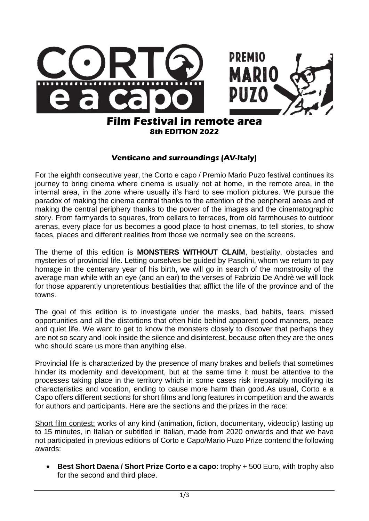

## **8th EDITION 2022**

## **Venticano and surroundings (AV-Italy)**

For the eighth consecutive year, the Corto e capo / Premio Mario Puzo festival continues its journey to bring cinema where cinema is usually not at home, in the remote area, in the internal area, in the zone where usually it's hard to see motion pictures. We pursue the paradox of making the cinema central thanks to the attention of the peripheral areas and of making the central periphery thanks to the power of the images and the cinematographic story. From farmyards to squares, from cellars to terraces, from old farmhouses to outdoor arenas, every place for us becomes a good place to host cinemas, to tell stories, to show faces, places and different realities from those we normally see on the screens.

The theme of this edition is **MONSTERS WITHOUT CLAIM**, bestiality, obstacles and mysteries of provincial life. Letting ourselves be guided by Pasolini, whom we return to pay homage in the centenary year of his birth, we will go in search of the monstrosity of the average man while with an eye (and an ear) to the verses of Fabrizio De Andrè we will look for those apparently unpretentious bestialities that afflict the life of the province and of the towns.

The goal of this edition is to investigate under the masks, bad habits, fears, missed opportunities and all the distortions that often hide behind apparent good manners, peace and quiet life. We want to get to know the monsters closely to discover that perhaps they are not so scary and look inside the silence and disinterest, because often they are the ones who should scare us more than anything else.

Provincial life is characterized by the presence of many brakes and beliefs that sometimes hinder its modernity and development, but at the same time it must be attentive to the processes taking place in the territory which in some cases risk irreparably modifying its characteristics and vocation, ending to cause more harm than good.As usual, Corto e a Capo offers different sections for short films and long features in competition and the awards for authors and participants. Here are the sections and the prizes in the race:

Short film contest: works of any kind (animation, fiction, documentary, videoclip) lasting up to 15 minutes, in Italian or subtitled in Italian, made from 2020 onwards and that we have not participated in previous editions of Corto e Capo/Mario Puzo Prize contend the following awards:

**Best Short Daena / Short Prize Corto e a capo:** trophy + 500 Euro, with trophy also for the second and third place.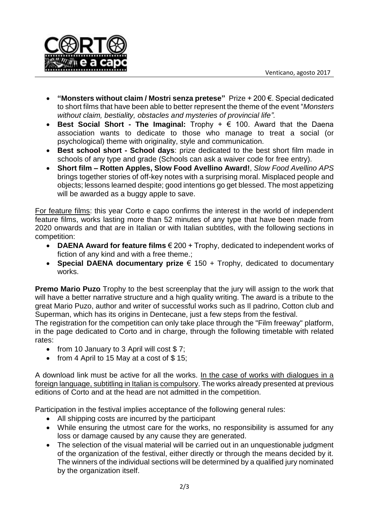

- **"Monsters without claim / Mostri senza pretese"** Prize + 200 €. Special dedicated to short films that have been able to better represent the theme of the event "*Monsters without claim, bestiality, obstacles and mysteries of provincial life".*
- **Best Social Short - The Imaginal:** Trophy + € 100. Award that the Daena association wants to dedicate to those who manage to treat a social (or psychological) theme with originality, style and communication.
- **Best school short - School days**: prize dedicated to the best short film made in schools of any type and grade (Schools can ask a waiver code for free entry).
- **Short film – Rotten Apples, Slow Food Avellino Award!**, *Slow Food Avellino APS* brings together stories of off-key notes with a surprising moral. Misplaced people and objects; lessons learned despite; good intentions go get blessed. The most appetizing will be awarded as a buggy apple to save.

For feature films: this year Corto e capo confirms the interest in the world of independent feature films, works lasting more than 52 minutes of any type that have been made from 2020 onwards and that are in Italian or with Italian subtitles, with the following sections in competition:

- **DAENA Award for feature films** € 200 + Trophy, dedicated to independent works of fiction of any kind and with a free theme.;
- **Special DAENA documentary prize** € 150 + Trophy, dedicated to documentary works.

**Premo Mario Puzo** Trophy to the best screenplay that the jury will assign to the work that will have a better narrative structure and a high quality writing. The award is a tribute to the great Mario Puzo, author and writer of successful works such as Il padrino, Cotton club and Superman, which has its origins in Dentecane, just a few steps from the festival.

The registration for the competition can only take place through the "Film freeway" platform, in the page dedicated to Corto and in charge, through the following timetable with related rates:

- from 10 January to 3 April will cost  $$7;$
- from 4 April to 15 May at a cost of  $$ 15$ ;

A download link must be active for all the works. In the case of works with dialogues in a foreign language, subtitling in Italian is compulsory. The works already presented at previous editions of Corto and at the head are not admitted in the competition.

Participation in the festival implies acceptance of the following general rules:

- All shipping costs are incurred by the participant
- While ensuring the utmost care for the works, no responsibility is assumed for any loss or damage caused by any cause they are generated.
- The selection of the visual material will be carried out in an unquestionable judgment of the organization of the festival, either directly or through the means decided by it. The winners of the individual sections will be determined by a qualified jury nominated by the organization itself.